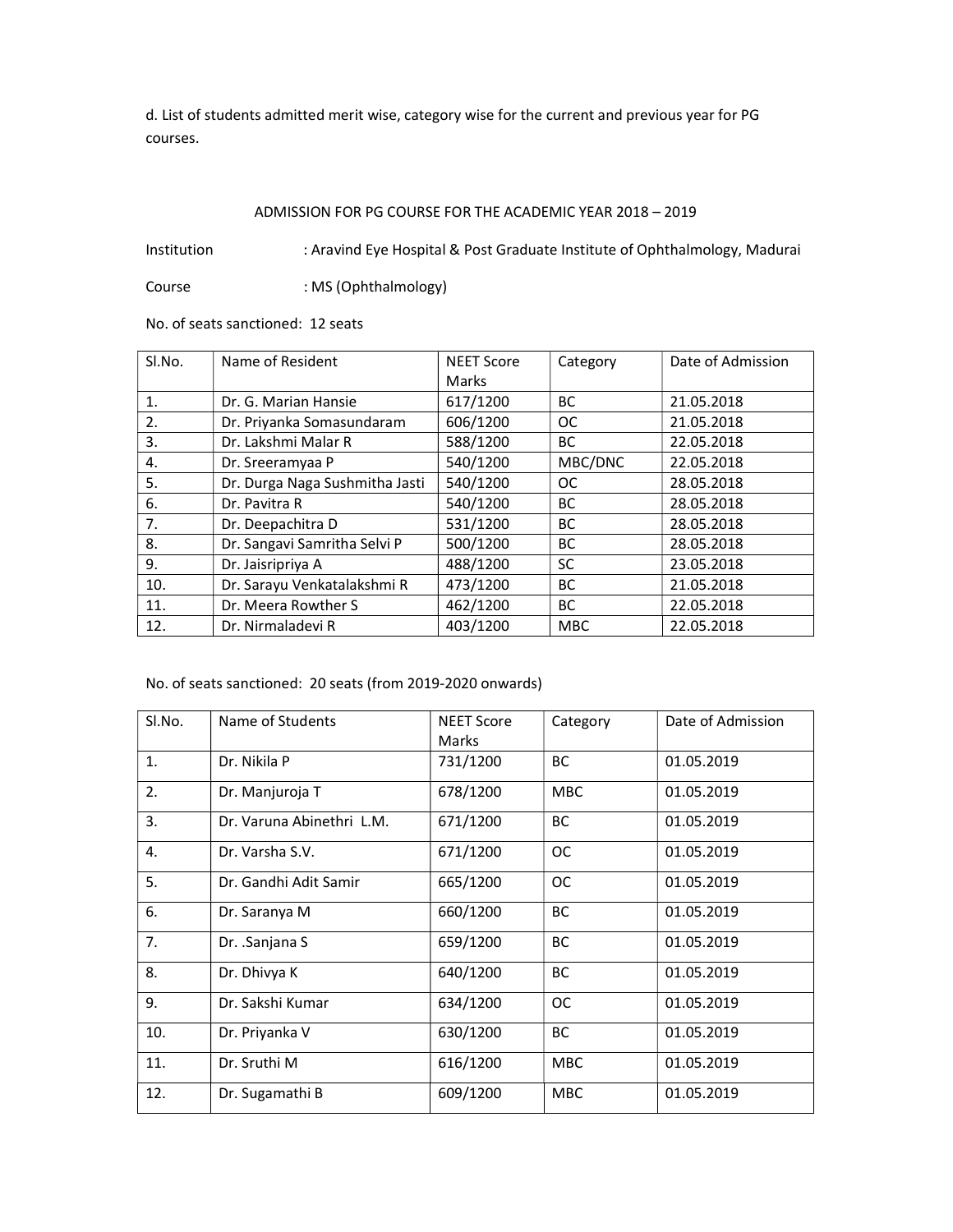d. List of students admitted merit wise, category wise for the current and previous year for PG courses.

## ADMISSION FOR PG COURSE FOR THE ACADEMIC YEAR 2018 – 2019

Institution : Aravind Eye Hospital & Post Graduate Institute of Ophthalmology, Madurai

Course : MS (Ophthalmology)

No. of seats sanctioned: 12 seats

| SI.No.         | Name of Resident               | <b>NEET Score</b><br>Marks | Category      | Date of Admission |
|----------------|--------------------------------|----------------------------|---------------|-------------------|
| $\mathbf{1}$ . | Dr. G. Marian Hansie           | 617/1200                   | <b>BC</b>     | 21.05.2018        |
| 2.             | Dr. Priyanka Somasundaram      | 606/1200                   | <b>OC</b>     | 21.05.2018        |
| 3.             | Dr. Lakshmi Malar R            | 588/1200                   | <b>BC</b>     | 22.05.2018        |
| 4.             | Dr. Sreeramyaa P               | 540/1200                   | MBC/DNC       | 22.05.2018        |
| 5.             | Dr. Durga Naga Sushmitha Jasti | 540/1200                   | <sub>OC</sub> | 28.05.2018        |
| 6.             | Dr. Pavitra R                  | 540/1200                   | <b>BC</b>     | 28.05.2018        |
| 7.             | Dr. Deepachitra D              | 531/1200                   | <b>BC</b>     | 28.05.2018        |
| 8.             | Dr. Sangavi Samritha Selvi P   | 500/1200                   | <b>BC</b>     | 28.05.2018        |
| 9.             | Dr. Jaisripriya A              | 488/1200                   | <b>SC</b>     | 23.05.2018        |
| 10.            | Dr. Sarayu Venkatalakshmi R    | 473/1200                   | <b>BC</b>     | 21.05.2018        |
| 11.            | Dr. Meera Rowther S            | 462/1200                   | <b>BC</b>     | 22.05.2018        |
| 12.            | Dr. Nirmaladevi R              | 403/1200                   | <b>MBC</b>    | 22.05.2018        |

## No. of seats sanctioned: 20 seats (from 2019-2020 onwards)

| Sl.No. | Name of Students          | <b>NEET Score</b> | Category      | Date of Admission |
|--------|---------------------------|-------------------|---------------|-------------------|
|        |                           | Marks             |               |                   |
| 1.     | Dr. Nikila P              | 731/1200          | BC            | 01.05.2019        |
| 2.     | Dr. Manjuroja T           | 678/1200          | <b>MBC</b>    | 01.05.2019        |
| 3.     | Dr. Varuna Abinethri L.M. | 671/1200          | BC            | 01.05.2019        |
| 4.     | Dr. Varsha S.V.           | 671/1200          | <sub>OC</sub> | 01.05.2019        |
| 5.     | Dr. Gandhi Adit Samir     | 665/1200          | <b>OC</b>     | 01.05.2019        |
| 6.     | Dr. Saranya M             | 660/1200          | <b>BC</b>     | 01.05.2019        |
| 7.     | Dr. .Sanjana S            | 659/1200          | BC            | 01.05.2019        |
| 8.     | Dr. Dhivya K              | 640/1200          | BC            | 01.05.2019        |
| 9.     | Dr. Sakshi Kumar          | 634/1200          | <b>OC</b>     | 01.05.2019        |
| 10.    | Dr. Priyanka V            | 630/1200          | <b>BC</b>     | 01.05.2019        |
| 11.    | Dr. Sruthi M              | 616/1200          | <b>MBC</b>    | 01.05.2019        |
| 12.    | Dr. Sugamathi B           | 609/1200          | <b>MBC</b>    | 01.05.2019        |